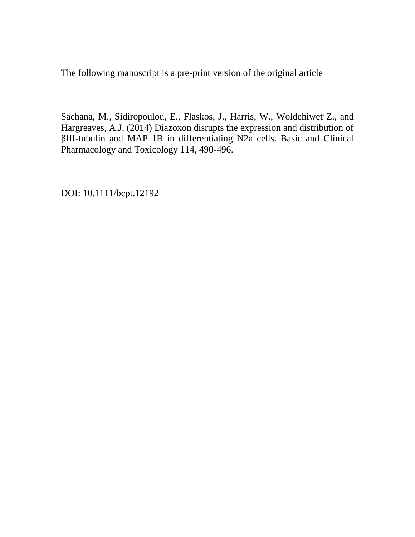The following manuscript is a pre-print version of the original article

Sachana, M., Sidiropoulou, E., Flaskos, J., Harris, W., Woldehiwet Z., and Hargreaves, A.J. (2014) Diazoxon disrupts the expression and distribution of βIII-tubulin and MAP 1B in differentiating N2a cells. Basic and Clinical Pharmacology and Toxicology 114, 490-496.

DOI: 10.1111/bcpt.12192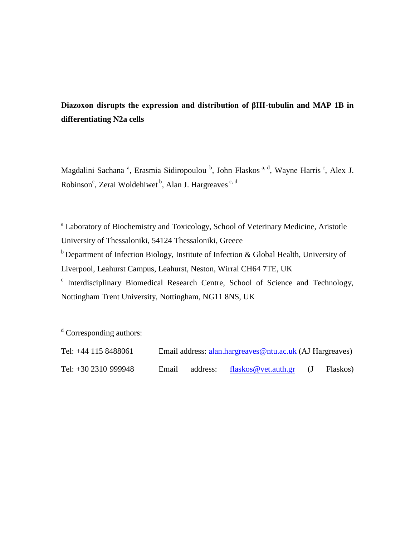# **Diazoxon disrupts the expression and distribution of βIII-tubulin and MAP 1B in differentiating N2a cells**

Magdalini Sachana<sup>a</sup>, Erasmia Sidiropoulou<sup>b</sup>, John Flaskos<sup>a, d</sup>, Wayne Harris<sup>c</sup>, Alex J. Robinson<sup>c</sup>, Zerai Woldehiwet <sup>b</sup>, Alan J. Hargreaves <sup>c, d</sup>

<sup>a</sup> Laboratory of Biochemistry and Toxicology, School of Veterinary Medicine, Aristotle University of Thessaloniki, 54124 Thessaloniki, Greece  $<sup>b</sup>$  Department of Infection Biology, Institute of Infection & Global Health, University of</sup> Liverpool, Leahurst Campus, Leahurst, Neston, Wirral CH64 7TE, UK <sup>c</sup> Interdisciplinary Biomedical Research Centre, School of Science and Technology, Nottingham Trent University, Nottingham, NG11 8NS, UK

<sup>d</sup> Corresponding authors:

| Tel: $+44$ 115 8488061 |       |          | Email address: alan.hargreaves@ntu.ac.uk (AJ Hargreaves) |          |
|------------------------|-------|----------|----------------------------------------------------------|----------|
| Tel: +30 2310 999948   | Email | address: | flaskos@vet.auth.gr $(J$                                 | Flaskos) |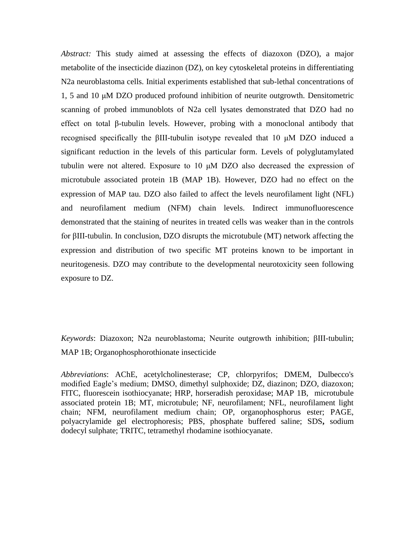*Abstract:* This study aimed at assessing the effects of diazoxon (DZO), a major metabolite of the insecticide diazinon (DZ), on key cytoskeletal proteins in differentiating N2a neuroblastoma cells. Initial experiments established that sub-lethal concentrations of 1, 5 and 10 μM DZO produced profound inhibition of neurite outgrowth. Densitometric scanning of probed immunoblots of N2a cell lysates demonstrated that DZO had no effect on total β-tubulin levels. However, probing with a monoclonal antibody that recognised specifically the βIII-tubulin isotype revealed that 10 μM DZO induced a significant reduction in the levels of this particular form. Levels of polyglutamylated tubulin were not altered. Exposure to 10 μM DZO also decreased the expression of microtubule associated protein 1B (MAP 1B). However, DZO had no effect on the expression of MAP tau. DZO also failed to affect the levels neurofilament light (NFL) and neurofilament medium (NFM) chain levels. Indirect immunofluorescence demonstrated that the staining of neurites in treated cells was weaker than in the controls for βIII-tubulin. In conclusion, DZO disrupts the microtubule (MT) network affecting the expression and distribution of two specific MT proteins known to be important in neuritogenesis. DZO may contribute to the developmental neurotoxicity seen following exposure to DZ.

*Keywords*: Diazoxon; N2a neuroblastoma; Neurite outgrowth inhibition; βIII-tubulin; MAP 1B; Organophosphorothionate insecticide

*Abbreviations*: AChE, acetylcholinesterase; CP, chlorpyrifos; DMEM, Dulbecco's modified Eagle's medium; DMSO, dimethyl sulphoxide; DZ, diazinon; DZO, diazoxon; FITC, fluorescein isothiocyanate; HRP, horseradish peroxidase; MAP 1B, microtubule associated protein 1B; MT, microtubule; NF, neurofilament; NFL, neurofilament light chain; NFM, neurofilament medium chain; OP, organophosphorus ester; PAGE, polyacrylamide gel electrophoresis; PBS, phosphate buffered saline; SDS**,** sodium dodecyl sulphate; TRITC, tetramethyl rhodamine isothiocyanate.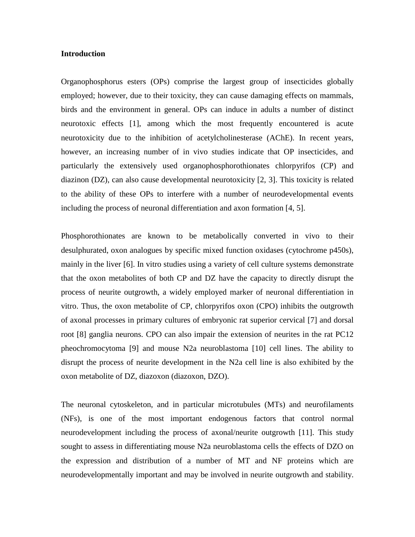#### **Introduction**

Organophosphorus esters (OPs) comprise the largest group of insecticides globally employed; however, due to their toxicity, they can cause damaging effects on mammals, birds and the environment in general. OPs can induce in adults a number of distinct neurotoxic effects [1], among which the most frequently encountered is acute neurotoxicity due to the inhibition of acetylcholinesterase (AChE). In recent years, however, an increasing number of in vivo studies indicate that OP insecticides, and particularly the extensively used organophosphorothionates chlorpyrifos (CP) and diazinon (DZ), can also cause developmental neurotoxicity [2, 3]. This toxicity is related to the ability of these OPs to interfere with a number of neurodevelopmental events including the process of neuronal differentiation and axon formation [4, 5].

Phosphorothionates are known to be metabolically converted in vivo to their desulphurated, oxon analogues by specific mixed function oxidases (cytochrome p450s), mainly in the liver [6]. In vitro studies using a variety of cell culture systems demonstrate that the oxon metabolites of both CP and DZ have the capacity to directly disrupt the process of neurite outgrowth, a widely employed marker of neuronal differentiation in vitro. Thus, the oxon metabolite of CP, chlorpyrifos oxon (CPO) inhibits the outgrowth of axonal processes in primary cultures of embryonic rat superior cervical [7] and dorsal root [8] ganglia neurons. CPO can also impair the extension of neurites in the rat PC12 pheochromocytoma [9] and mouse N2a neuroblastoma [10] cell lines. The ability to disrupt the process of neurite development in the N2a cell line is also exhibited by the oxon metabolite of DZ, diazoxon (diazoxon, DZO).

The neuronal cytoskeleton, and in particular microtubules (MTs) and neurofilaments (NFs), is one of the most important endogenous factors that control normal neurodevelopment including the process of axonal/neurite outgrowth [11]. This study sought to assess in differentiating mouse N2a neuroblastoma cells the effects of DZO on the expression and distribution of a number of MT and NF proteins which are neurodevelopmentally important and may be involved in neurite outgrowth and stability.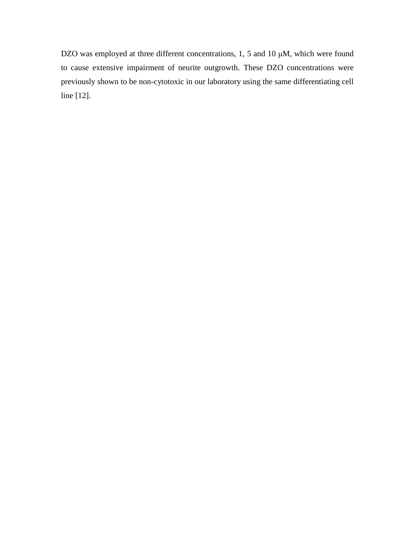DZO was employed at three different concentrations, 1, 5 and 10 μM, which were found to cause extensive impairment of neurite outgrowth. These DZO concentrations were previously shown to be non-cytotoxic in our laboratory using the same differentiating cell line [12].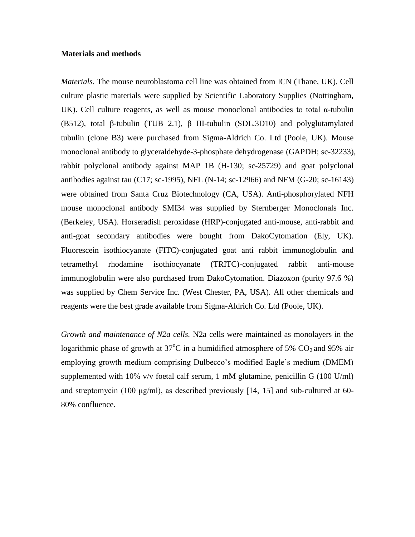### **Materials and methods**

*Materials.* The mouse neuroblastoma cell line was obtained from ICN (Thane, UK). Cell culture plastic materials were supplied by Scientific Laboratory Supplies (Nottingham, UK). Cell culture reagents, as well as mouse monoclonal antibodies to total  $\alpha$ -tubulin (B512), total β-tubulin (TUB 2.1), β III-tubulin (SDL.3D10) and polyglutamylated tubulin (clone B3) were purchased from Sigma-Aldrich Co. Ltd (Poole, UK). Mouse monoclonal antibody to glyceraldehyde-3-phosphate dehydrogenase (GAPDH; sc-32233), rabbit polyclonal antibody against MAP 1B (H-130; sc-25729) and goat polyclonal antibodies against tau (C17; sc-1995), NFL (N-14; sc-12966) and NFM (G-20; sc-16143) were obtained from Santa Cruz Biotechnology (CA, USA). Anti-phosphorylated NFH mouse monoclonal antibody SMI34 was supplied by Sternberger Monoclonals Inc. (Berkeley, USA). Horseradish peroxidase (HRP)-conjugated anti-mouse, anti-rabbit and anti-goat secondary antibodies were bought from DakoCytomation (Ely, UK). Fluorescein isothiocyanate (FITC)-conjugated goat anti rabbit immunoglobulin and tetramethyl rhodamine isothiocyanate (TRITC)-conjugated rabbit anti-mouse immunoglobulin were also purchased from DakoCytomation. Diazoxon (purity 97.6 %) was supplied by Chem Service Inc. (West Chester, PA, USA). All other chemicals and reagents were the best grade available from Sigma-Aldrich Co. Ltd (Poole, UK).

*Growth and maintenance of N2a cells.* N2a cells were maintained as monolayers in the logarithmic phase of growth at  $37^{\circ}$ C in a humidified atmosphere of 5% CO<sub>2</sub> and 95% air employing growth medium comprising Dulbecco's modified Eagle's medium (DMEM) supplemented with 10% v/v foetal calf serum, 1 mM glutamine, penicillin G  $(100 \text{ U/ml})$ and streptomycin (100 μg/ml), as described previously [14, 15] and sub-cultured at 60- 80% confluence.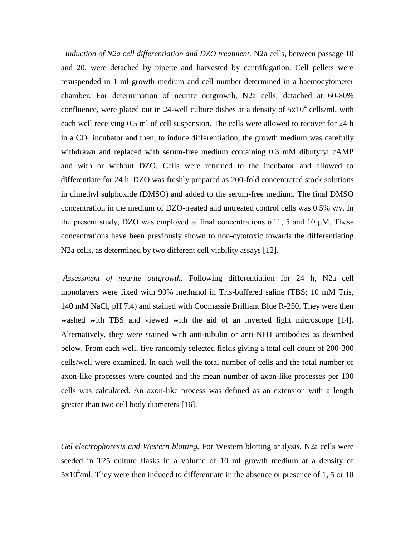*Induction of N2a cell differentiation and DZO treatment.* N2a cells, between passage 10 and 20, were detached by pipette and harvested by centrifugation. Cell pellets were resuspended in 1 ml growth medium and cell number determined in a haemocytometer chamber. For determination of neurite outgrowth, N2a cells, detached at 60-80% confluence, were plated out in 24-well culture dishes at a density of  $5x10^4$  cells/ml, with each well receiving 0.5 ml of cell suspension. The cells were allowed to recover for 24 h in a  $CO<sub>2</sub>$  incubator and then, to induce differentiation, the growth medium was carefully withdrawn and replaced with serum-free medium containing 0.3 mM dibutyryl cAMP and with or without DZO. Cells were returned to the incubator and allowed to differentiate for 24 h. DZO was freshly prepared as 200-fold concentrated stock solutions in dimethyl sulphoxide (DMSO) and added to the serum-free medium. The final DMSO concentration in the medium of DZO-treated and untreated control cells was 0.5% v/v. In the present study, DZO was employed at final concentrations of 1, 5 and 10 μM. These concentrations have been previously shown to non-cytotoxic towards the differentiating N2a cells, as determined by two different cell viability assays [12].

*Assessment of neurite outgrowth.* Following differentiation for 24 h, N2a cell monolayers were fixed with 90% methanol in Tris-buffered saline (TBS; 10 mM Tris, 140 mM NaCl, pH 7.4) and stained with Coomassie Brilliant Blue R-250. They were then washed with TBS and viewed with the aid of an inverted light microscope [14]. Alternatively, they were stained with anti-tubulin or anti-NFH antibodies as described below. From each well, five randomly selected fields giving a total cell count of 200-300 cells/well were examined. In each well the total number of cells and the total number of axon-like processes were counted and the mean number of axon-like processes per 100 cells was calculated. An axon-like process was defined as an extension with a length greater than two cell body diameters [16].

*Gel electrophoresis and Western blotting.* For Western blotting analysis, N2a cells were seeded in T25 culture flasks in a volume of 10 ml growth medium at a density of  $5x10<sup>4</sup>/ml$ . They were then induced to differentiate in the absence or presence of 1, 5 or 10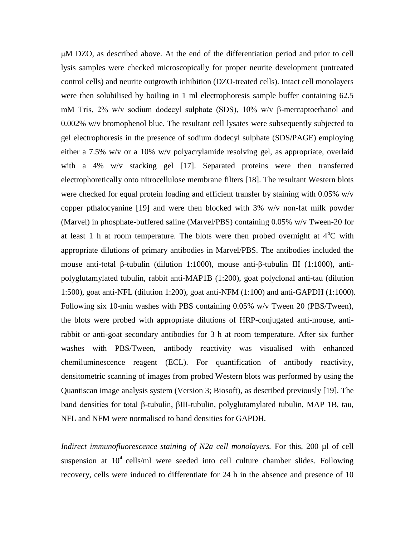μM DZO, as described above. At the end of the differentiation period and prior to cell lysis samples were checked microscopically for proper neurite development (untreated control cells) and neurite outgrowth inhibition (DZO-treated cells). Intact cell monolayers were then solubilised by boiling in 1 ml electrophoresis sample buffer containing 62.5 mM Tris, 2% w/v sodium dodecyl sulphate (SDS), 10% w/v β-mercaptoethanol and 0.002% w/v bromophenol blue. The resultant cell lysates were subsequently subjected to gel electrophoresis in the presence of sodium dodecyl sulphate (SDS/PAGE) employing either a 7.5% w/v or a 10% w/v polyacrylamide resolving gel, as appropriate, overlaid with a 4% w/v stacking gel [17]. Separated proteins were then transferred electrophoretically onto nitrocellulose membrane filters [18]. The resultant Western blots were checked for equal protein loading and efficient transfer by staining with 0.05% w/v copper pthalocyanine [19] and were then blocked with 3% w/v non-fat milk powder (Marvel) in phosphate-buffered saline (Marvel/PBS) containing 0.05% w/v Tween-20 for at least 1 h at room temperature. The blots were then probed overnight at  $4^{\circ}$ C with appropriate dilutions of primary antibodies in Marvel/PBS. The antibodies included the mouse anti-total β-tubulin (dilution 1:1000), mouse anti-β-tubulin III (1:1000), antipolyglutamylated tubulin, rabbit anti-MAP1B (1:200), goat polyclonal anti-tau (dilution 1:500), goat anti-NFL (dilution 1:200), goat anti-NFM (1:100) and anti-GAPDH (1:1000). Following six 10-min washes with PBS containing 0.05% w/v Tween 20 (PBS/Tween), the blots were probed with appropriate dilutions of HRP-conjugated anti-mouse, antirabbit or anti-goat secondary antibodies for 3 h at room temperature. After six further washes with PBS/Tween, antibody reactivity was visualised with enhanced chemiluminescence reagent (ECL). For quantification of antibody reactivity, densitometric scanning of images from probed Western blots was performed by using the Quantiscan image analysis system (Version 3; Biosoft), as described previously [19]. The band densities for total β-tubulin, βIII-tubulin, polyglutamylated tubulin, MAP 1B, tau, NFL and NFM were normalised to band densities for GAPDH.

*Indirect immunofluorescence staining of N2a cell monolayers.* For this, 200 µl of cell suspension at  $10^4$  cells/ml were seeded into cell culture chamber slides. Following recovery, cells were induced to differentiate for 24 h in the absence and presence of 10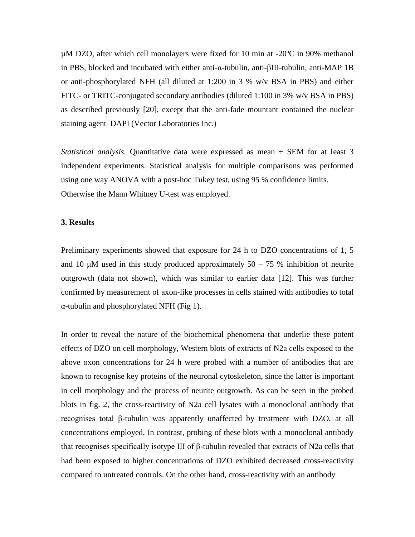µM DZO, after which cell monolayers were fixed for 10 min at -20ºC in 90% methanol in PBS, blocked and incubated with either anti-α-tubulin, anti-βIII-tubulin, anti-MAP 1B or anti-phosphorylated NFH (all diluted at 1:200 in 3 % w/v BSA in PBS) and either FITC- or TRITC-conjugated secondary antibodies (diluted 1:100 in 3% w/v BSA in PBS) as described previously [20], except that the anti-fade mountant contained the nuclear staining agent DAPI (Vector Laboratories Inc.)

*Statistical analysis.* Quantitative data were expressed as mean  $\pm$  SEM for at least 3 independent experiments. Statistical analysis for multiple comparisons was performed using one way ANOVA with a post-hoc Tukey test, using 95 % confidence limits. Otherwise the Mann Whitney U-test was employed.

## **3. Results**

Preliminary experiments showed that exposure for 24 h to DZO concentrations of 1, 5 and 10  $\mu$ M used in this study produced approximately 50 – 75 % inhibition of neurite outgrowth (data not shown), which was similar to earlier data [12]. This was further confirmed by measurement of axon-like processes in cells stained with antibodies to total α-tubulin and phosphorylated NFH (Fig 1).

In order to reveal the nature of the biochemical phenomena that underlie these potent effects of DZO on cell morphology, Western blots of extracts of N2a cells exposed to the above oxon concentrations for 24 h were probed with a number of antibodies that are known to recognise key proteins of the neuronal cytoskeleton, since the latter is important in cell morphology and the process of neurite outgrowth. As can be seen in the probed blots in fig. 2, the cross-reactivity of N2a cell lysates with a monoclonal antibody that recognises total β-tubulin was apparently unaffected by treatment with DZO, at all concentrations employed. In contrast, probing of these blots with a monoclonal antibody that recognises specifically isotype III of β-tubulin revealed that extracts of N2a cells that had been exposed to higher concentrations of DZO exhibited decreased cross-reactivity compared to untreated controls. On the other hand, cross-reactivity with an antibody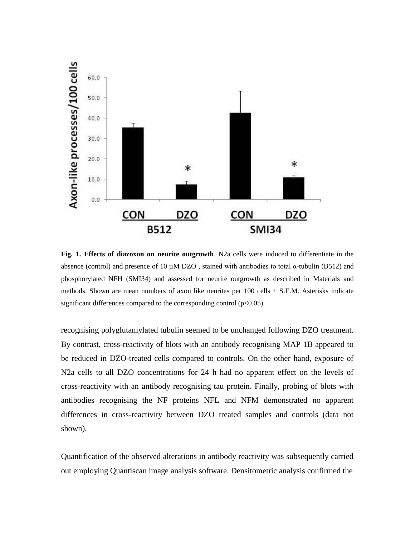

**Fig. 1. Effects of diazoxon on neurite outgrowth**. N2a cells were induced to differentiate in the absence (control) and presence of 10 μM DZO, stained with antibodies to total α-tubulin (B512) and phosphorylated NFH (SMI34) and assessed for neurite outgrowth as described in Materials and methods. Shown are mean numbers of axon like neurites per 100 cells  $\pm$  S.E.M. Asterisks indicate significant differences compared to the corresponding control  $(p<0.05)$ .

recognising polyglutamylated tubulin seemed to be unchanged following DZO treatment. By contrast, cross-reactivity of blots with an antibody recognising MAP 1B appeared to be reduced in DZO-treated cells compared to controls. On the other hand, exposure of N2a cells to all DZO concentrations for 24 h had no apparent effect on the levels of cross-reactivity with an antibody recognising tau protein. Finally, probing of blots with antibodies recognising the NF proteins NFL and NFM demonstrated no apparent differences in cross-reactivity between DZO treated samples and controls (data not shown).

Quantification of the observed alterations in antibody reactivity was subsequently carried out employing Quantiscan image analysis software. Densitometric analysis confirmed the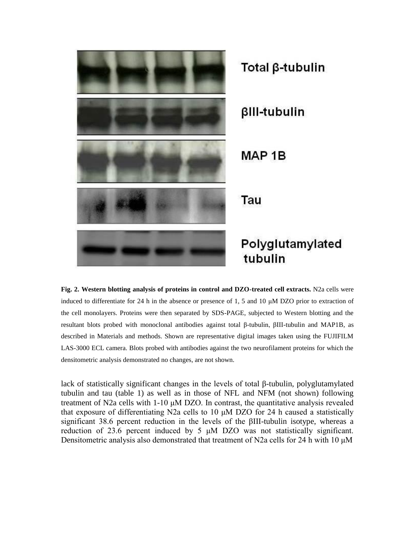

**Fig. 2. Western blotting analysis of proteins in control and DZO-treated cell extracts.** N2a cells were induced to differentiate for 24 h in the absence or presence of 1, 5 and 10 μM DZO prior to extraction of the cell monolayers. Proteins were then separated by SDS-PAGE, subjected to Western blotting and the resultant blots probed with monoclonal antibodies against total β-tubulin, βIII-tubulin and MAP1B, as described in Materials and methods. Shown are representative digital images taken using the FUJIFILM LAS-3000 ECL camera. Blots probed with antibodies against the two neurofilament proteins for which the densitometric analysis demonstrated no changes, are not shown.

lack of statistically significant changes in the levels of total β-tubulin, polyglutamylated tubulin and tau (table 1) as well as in those of NFL and NFM (not shown) following treatment of N2a cells with 1-10 μM DZO. In contrast, the quantitative analysis revealed that exposure of differentiating N2a cells to 10 μM DZO for 24 h caused a statistically significant 38.6 percent reduction in the levels of the βIII-tubulin isotype, whereas a reduction of 23.6 percent induced by 5 μM DZO was not statistically significant. Densitometric analysis also demonstrated that treatment of N2a cells for 24 h with 10 μM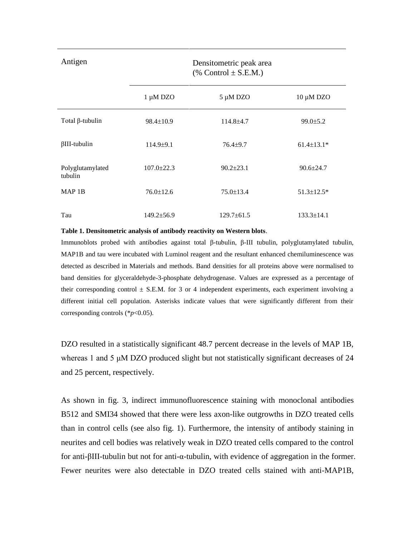Antigen Densitometric peak area  $%$  Control  $\pm$  S.E.M.)

|                             | 1 µM DZO         | 5 µM DZO         | 10 μM DZO         |
|-----------------------------|------------------|------------------|-------------------|
| Total $\beta$ -tubulin      | $98.4 \pm 10.9$  | $114.8 \pm 4.7$  | $99.0 \pm 5.2$    |
| $\beta$ III-tubulin         | $114.9 \pm 9.1$  | $76.4 + 9.7$     | $61.4 \pm 13.1*$  |
| Polyglutamylated<br>tubulin | $107.0 \pm 22.3$ | $90.2 + 23.1$    | $90.6 \pm 24.7$   |
| MAP <sub>1B</sub>           | $76.0 \pm 12.6$  | $75.0 \pm 13.4$  | $51.3 \pm 12.5^*$ |
| Tau                         | $149.2 \pm 56.9$ | $129.7 \pm 61.5$ | $133.3 \pm 14.1$  |

#### **Table 1. Densitometric analysis of antibody reactivity on Western blots**.

Immunoblots probed with antibodies against total β-tubulin, β-III tubulin, polyglutamylated tubulin, MAP1B and tau were incubated with Luminol reagent and the resultant enhanced chemiluminescence was detected as described in Materials and methods. Band densities for all proteins above were normalised to band densities for glyceraldehyde-3-phosphate dehydrogenase. Values are expressed as a percentage of their corresponding control  $\pm$  S.E.M. for 3 or 4 independent experiments, each experiment involving a different initial cell population. Asterisks indicate values that were significantly different from their corresponding controls (\**p*<0.05).

DZO resulted in a statistically significant 48.7 percent decrease in the levels of MAP 1B, whereas 1 and 5 μM DZO produced slight but not statistically significant decreases of 24 and 25 percent, respectively.

As shown in fig. 3, indirect immunofluorescence staining with monoclonal antibodies B512 and SMI34 showed that there were less axon-like outgrowths in DZO treated cells than in control cells (see also fig. 1). Furthermore, the intensity of antibody staining in neurites and cell bodies was relatively weak in DZO treated cells compared to the control for anti-βIII-tubulin but not for anti-α-tubulin, with evidence of aggregation in the former. Fewer neurites were also detectable in DZO treated cells stained with anti-MAP1B,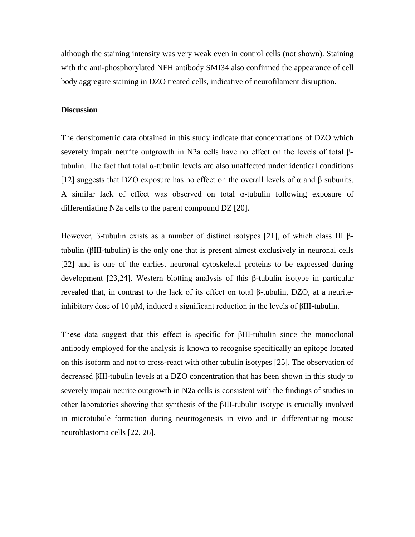although the staining intensity was very weak even in control cells (not shown). Staining with the anti-phosphorylated NFH antibody SMI34 also confirmed the appearance of cell body aggregate staining in DZO treated cells, indicative of neurofilament disruption.

#### **Discussion**

The densitometric data obtained in this study indicate that concentrations of DZO which severely impair neurite outgrowth in N2a cells have no effect on the levels of total βtubulin. The fact that total α-tubulin levels are also unaffected under identical conditions [12] suggests that DZO exposure has no effect on the overall levels of  $\alpha$  and  $\beta$  subunits. A similar lack of effect was observed on total  $\alpha$ -tubulin following exposure of differentiating N2a cells to the parent compound DZ [20].

However, β-tubulin exists as a number of distinct isotypes [21], of which class III βtubulin (βIII-tubulin) is the only one that is present almost exclusively in neuronal cells [22] and is one of the earliest neuronal cytoskeletal proteins to be expressed during development [23,24]. Western blotting analysis of this β-tubulin isotype in particular revealed that, in contrast to the lack of its effect on total β-tubulin, DZO, at a neuriteinhibitory dose of 10 μM, induced a significant reduction in the levels of βIII-tubulin.

These data suggest that this effect is specific for βIII-tubulin since the monoclonal antibody employed for the analysis is known to recognise specifically an epitope located on this isoform and not to cross-react with other tubulin isotypes [25]. The observation of decreased βIII-tubulin levels at a DZO concentration that has been shown in this study to severely impair neurite outgrowth in N2a cells is consistent with the findings of studies in other laboratories showing that synthesis of the βIII-tubulin isotype is crucially involved in microtubule formation during neuritogenesis in vivo and in differentiating mouse neuroblastoma cells [22, 26].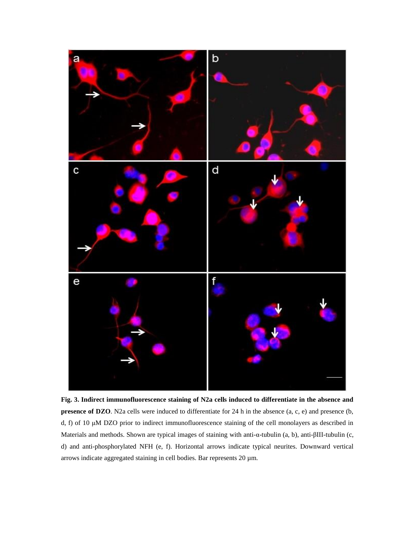

**Fig. 3. Indirect immunofluorescence staining of N2a cells induced to differentiate in the absence and presence of DZO**. N2a cells were induced to differentiate for 24 h in the absence (a, c, e) and presence (b, d, f) of 10 μM DZO prior to indirect immunofluorescence staining of the cell monolayers as described in Materials and methods. Shown are typical images of staining with anti-α-tubulin (a, b), anti-βIII-tubulin (c, d) and anti-phosphorylated NFH (e, f). Horizontal arrows indicate typical neurites. Downward vertical arrows indicate aggregated staining in cell bodies. Bar represents 20 µm.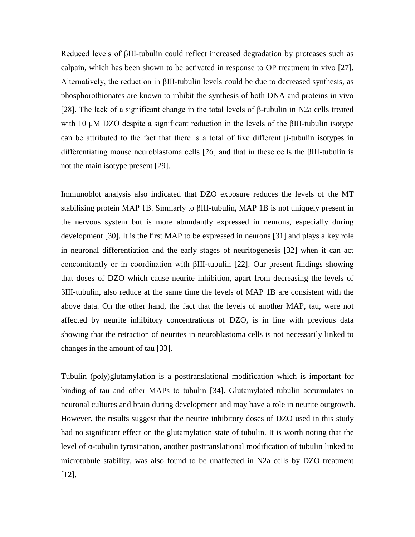Reduced levels of βIII-tubulin could reflect increased degradation by proteases such as calpain, which has been shown to be activated in response to OP treatment in vivo [27]. Alternatively, the reduction in βIII-tubulin levels could be due to decreased synthesis, as phosphorothionates are known to inhibit the synthesis of both DNA and proteins in vivo [28]. The lack of a significant change in the total levels of β-tubulin in N2a cells treated with 10  $\mu$ M DZO despite a significant reduction in the levels of the βIII-tubulin isotype can be attributed to the fact that there is a total of five different β-tubulin isotypes in differentiating mouse neuroblastoma cells [26] and that in these cells the βIII-tubulin is not the main isotype present [29].

Immunoblot analysis also indicated that DZO exposure reduces the levels of the MT stabilising protein MAP 1B. Similarly to βIII-tubulin, MAP 1B is not uniquely present in the nervous system but is more abundantly expressed in neurons, especially during development [30]. It is the first MAP to be expressed in neurons [31] and plays a key role in neuronal differentiation and the early stages of neuritogenesis [32] when it can act concomitantly or in coordination with βIII-tubulin [22]. Our present findings showing that doses of DZO which cause neurite inhibition, apart from decreasing the levels of βIII-tubulin, also reduce at the same time the levels of MAP 1B are consistent with the above data. On the other hand, the fact that the levels of another MAP, tau, were not affected by neurite inhibitory concentrations of DZO, is in line with previous data showing that the retraction of neurites in neuroblastoma cells is not necessarily linked to changes in the amount of tau [33].

Tubulin (poly)glutamylation is a posttranslational modification which is important for binding of tau and other MAPs to tubulin [34]. Glutamylated tubulin accumulates in neuronal cultures and brain during development and may have a role in neurite outgrowth. However, the results suggest that the neurite inhibitory doses of DZO used in this study had no significant effect on the glutamylation state of tubulin. It is worth noting that the level of α-tubulin tyrosination, another posttranslational modification of tubulin linked to microtubule stability, was also found to be unaffected in N2a cells by DZO treatment [12].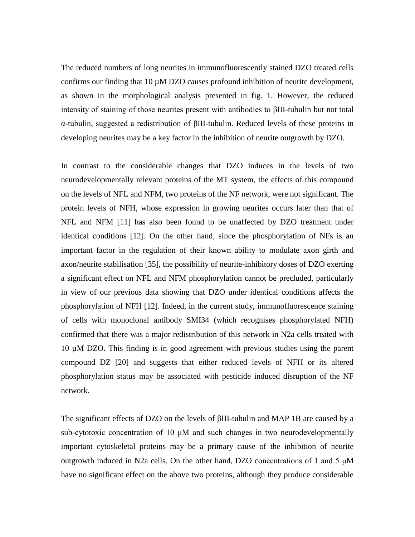The reduced numbers of long neurites in immunofluorescently stained DZO treated cells confirms our finding that 10 µM DZO causes profound inhibition of neurite development, as shown in the morphological analysis presented in fig. 1. However, the reduced intensity of staining of those neurites present with antibodies to βIII-tubulin but not total α-tubulin, suggested a redistribution of βIII-tubulin. Reduced levels of these proteins in developing neurites may be a key factor in the inhibition of neurite outgrowth by DZO.

In contrast to the considerable changes that DZO induces in the levels of two neurodevelopmentally relevant proteins of the MT system, the effects of this compound on the levels of NFL and NFM, two proteins of the NF network, were not significant. The protein levels of NFH, whose expression in growing neurites occurs later than that of NFL and NFM [11] has also been found to be unaffected by DZO treatment under identical conditions [12]. On the other hand, since the phosphorylation of NFs is an important factor in the regulation of their known ability to modulate axon girth and axon/neurite stabilisation [35], the possibility of neurite-inhibitory doses of DZO exerting a significant effect on NFL and NFM phosphorylation cannot be precluded, particularly in view of our previous data showing that DZO under identical conditions affects the phosphorylation of NFH [12]. Indeed, in the current study, immunofluorescence staining of cells with monoclonal antibody SMI34 (which recognises phosphorylated NFH) confirmed that there was a major redistribution of this network in N2a cells treated with 10 µM DZO. This finding is in good agreement with previous studies using the parent compound DZ [20] and suggests that either reduced levels of NFH or its altered phosphorylation status may be associated with pesticide induced disruption of the NF network.

The significant effects of DZO on the levels of βIII-tubulin and MAP 1B are caused by a sub-cytotoxic concentration of 10 μM and such changes in two neurodevelopmentally important cytoskeletal proteins may be a primary cause of the inhibition of neurite outgrowth induced in N2a cells. On the other hand, DZO concentrations of 1 and 5 μM have no significant effect on the above two proteins, although they produce considerable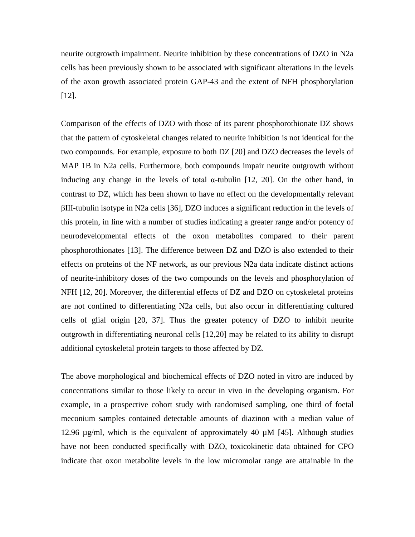neurite outgrowth impairment. Neurite inhibition by these concentrations of DZO in N2a cells has been previously shown to be associated with significant alterations in the levels of the axon growth associated protein GAP-43 and the extent of NFH phosphorylation [12].

Comparison of the effects of DZO with those of its parent phosphorothionate DZ shows that the pattern of cytoskeletal changes related to neurite inhibition is not identical for the two compounds. For example, exposure to both DZ [20] and DZO decreases the levels of MAP 1B in N2a cells. Furthermore, both compounds impair neurite outgrowth without inducing any change in the levels of total  $\alpha$ -tubulin [12, 20]. On the other hand, in contrast to DZ, which has been shown to have no effect on the developmentally relevant βIII-tubulin isotype in N2a cells [36], DZO induces a significant reduction in the levels of this protein, in line with a number of studies indicating a greater range and/or potency of neurodevelopmental effects of the oxon metabolites compared to their parent phosphorothionates [13]. The difference between DZ and DZO is also extended to their effects on proteins of the NF network, as our previous N2a data indicate distinct actions of neurite-inhibitory doses of the two compounds on the levels and phosphorylation of NFH [12, 20]. Moreover, the differential effects of DZ and DZO on cytoskeletal proteins are not confined to differentiating N2a cells, but also occur in differentiating cultured cells of glial origin [20, 37]. Thus the greater potency of DZO to inhibit neurite outgrowth in differentiating neuronal cells [12,20] may be related to its ability to disrupt additional cytoskeletal protein targets to those affected by DZ.

The above morphological and biochemical effects of DZO noted in vitro are induced by concentrations similar to those likely to occur in vivo in the developing organism. For example, in a prospective cohort study with randomised sampling, one third of foetal meconium samples contained detectable amounts of diazinon with a median value of 12.96 µg/ml, which is the equivalent of approximately 40 µM [45]. Although studies have not been conducted specifically with DZO, toxicokinetic data obtained for CPO indicate that oxon metabolite levels in the low micromolar range are attainable in the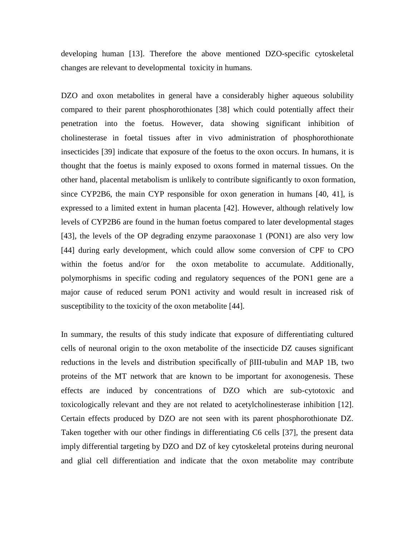developing human [13]. Therefore the above mentioned DZO-specific cytoskeletal changes are relevant to developmental toxicity in humans.

DZO and oxon metabolites in general have a considerably higher aqueous solubility compared to their parent phosphorothionates [38] which could potentially affect their penetration into the foetus. However, data showing significant inhibition of cholinesterase in foetal tissues after in vivo administration of phosphorothionate insecticides [39] indicate that exposure of the foetus to the oxon occurs. In humans, it is thought that the foetus is mainly exposed to oxons formed in maternal tissues. On the other hand, placental metabolism is unlikely to contribute significantly to oxon formation, since CYP2B6, the main CYP responsible for oxon generation in humans [40, 41], is expressed to a limited extent in human placenta [42]. However, although relatively low levels of CYP2B6 are found in the human foetus compared to later developmental stages [43], the levels of the OP degrading enzyme paraoxonase 1 (PON1) are also very low [44] during early development, which could allow some conversion of CPF to CPO within the foetus and/or for the oxon metabolite to accumulate. Additionally, polymorphisms in specific coding and regulatory sequences of the PON1 gene are a major cause of reduced serum PON1 activity and would result in increased risk of susceptibility to the toxicity of the oxon metabolite [44].

In summary, the results of this study indicate that exposure of differentiating cultured cells of neuronal origin to the oxon metabolite of the insecticide DZ causes significant reductions in the levels and distribution specifically of βIII-tubulin and MAP 1B, two proteins of the MT network that are known to be important for axonogenesis. These effects are induced by concentrations of DZO which are sub-cytotoxic and toxicologically relevant and they are not related to acetylcholinesterase inhibition [12]. Certain effects produced by DZO are not seen with its parent phosphorothionate DZ. Taken together with our other findings in differentiating C6 cells [37], the present data imply differential targeting by DZO and DZ of key cytoskeletal proteins during neuronal and glial cell differentiation and indicate that the oxon metabolite may contribute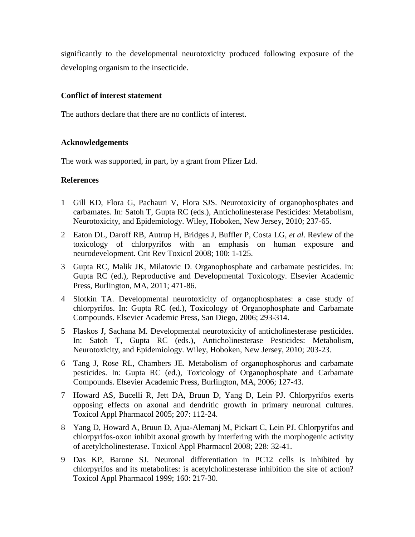significantly to the developmental neurotoxicity produced following exposure of the developing organism to the insecticide.

# **Conflict of interest statement**

The authors declare that there are no conflicts of interest.

# **Acknowledgements**

The work was supported, in part, by a grant from Pfizer Ltd.

# **References**

- 1 Gill KD, Flora G, Pachauri V, Flora SJS. Neurotoxicity of organophosphates and carbamates. In: Satoh T, Gupta RC (eds.), Anticholinesterase Pesticides: Metabolism, Neurotoxicity, and Epidemiology. Wiley, Hoboken, New Jersey, 2010; 237-65.
- 2 Eaton DL, Daroff RB, Autrup H, Bridges J, Buffler P, Costa LG, *et al*. Review of the toxicology of chlorpyrifos with an emphasis on human exposure and neurodevelopment. Crit Rev Toxicol 2008; 100: 1-125.
- 3 Gupta RC, Malik JK, Milatovic D. Organophosphate and carbamate pesticides. In: Gupta RC (ed.), Reproductive and Developmental Toxicology. Elsevier Academic Press, Burlington, MA, 2011; 471-86.
- 4 Slotkin TA. Developmental neurotoxicity of organophosphates: a case study of chlorpyrifos. In: Gupta RC (ed.), Toxicology of Organophosphate and Carbamate Compounds. Elsevier Academic Press, San Diego, 2006; 293-314.
- 5 Flaskos J, Sachana M. Developmental neurotoxicity of anticholinesterase pesticides. In: Satoh T, Gupta RC (eds.), Anticholinesterase Pesticides: Metabolism, Neurotoxicity, and Epidemiology. Wiley, Hoboken, New Jersey, 2010; 203-23.
- 6 Tang J, Rose RL, Chambers JE. Metabolism of organophosphorus and carbamate pesticides. In: Gupta RC (ed.), Toxicology of Organophosphate and Carbamate Compounds. Elsevier Academic Press, Burlington, MA, 2006; 127-43.
- 7 Howard AS, Bucelli R, Jett DA, Bruun D, Yang D, Lein PJ. Chlorpyrifos exerts opposing effects on axonal and dendritic growth in primary neuronal cultures. Toxicol Appl Pharmacol 2005; 207: 112-24.
- 8 Yang D, Howard A, Bruun D, Ajua-Alemanj M, Pickart C, Lein PJ. Chlorpyrifos and chlorpyrifos-oxon inhibit axonal growth by interfering with the morphogenic activity of acetylcholinesterase. Toxicol Appl Pharmacol 2008; 228: 32-41.
- 9 Das KP, Barone SJ. Neuronal differentiation in PC12 cells is inhibited by chlorpyrifos and its metabolites: is acetylcholinesterase inhibition the site of action? Toxicol Appl Pharmacol 1999; 160: 217-30.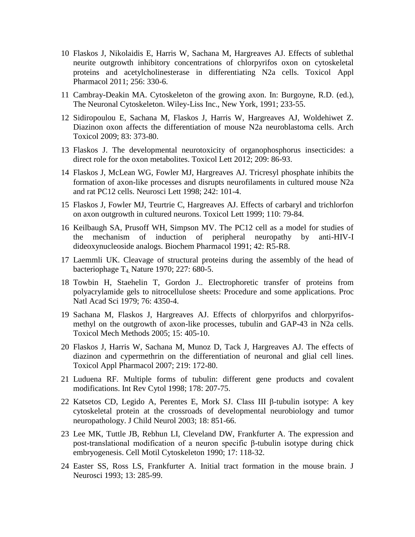- 10 Flaskos J, Nikolaidis E, Harris W, Sachana M, Hargreaves AJ. Effects of sublethal neurite outgrowth inhibitory concentrations of chlorpyrifos oxon on cytoskeletal proteins and acetylcholinesterase in differentiating N2a cells. Toxicol Appl Pharmacol 2011; 256: 330-6.
- 11 Cambray-Deakin MA. Cytoskeleton of the growing axon. In: Burgoyne, R.D. (ed.), The Neuronal Cytoskeleton. Wiley-Liss Inc., New York, 1991; 233-55.
- 12 Sidiropoulou E, Sachana M, Flaskos J, Harris W, Hargreaves AJ, Woldehiwet Z. Diazinon oxon affects the differentiation of mouse N2a neuroblastoma cells. Arch Toxicol 2009; 83: 373-80.
- 13 Flaskos J. The developmental neurotoxicity of organophosphorus insecticides: a direct role for the oxon metabolites. Toxicol Lett 2012; 209: 86-93.
- 14 Flaskos J, McLean WG, Fowler MJ, Hargreaves AJ. Tricresyl phosphate inhibits the formation of axon-like processes and disrupts neurofilaments in cultured mouse N2a and rat PC12 cells. Neurosci Lett 1998; 242: 101-4.
- 15 Flaskos J, Fowler MJ, Teurtrie C, Hargreaves AJ. Effects of carbaryl and trichlorfon on axon outgrowth in cultured neurons. Toxicol Lett 1999; 110: 79-84.
- 16 Keilbaugh SA, Prusoff WH, Simpson MV. The PC12 cell as a model for studies of the mechanism of induction of peripheral neuropathy by anti-HIV-I dideoxynucleoside analogs. Biochem Pharmacol 1991; 42: R5-R8.
- 17 Laemmli UK. Cleavage of structural proteins during the assembly of the head of bacteriophage  $T_4$  Nature 1970; 227: 680-5.
- 18 Towbin H, Staehelin T, Gordon J.. Electrophoretic transfer of proteins from polyacrylamide gels to nitrocellulose sheets: Procedure and some applications. Proc Natl Acad Sci 1979; 76: 4350-4.
- 19 Sachana M, Flaskos J, Hargreaves AJ. Effects of chlorpyrifos and chlorpyrifosmethyl on the outgrowth of axon-like processes, tubulin and GAP-43 in N2a cells. Toxicol Mech Methods 2005; 15: 405-10.
- 20 Flaskos J, Harris W, Sachana M, Munoz D, Tack J, Hargreaves AJ. The effects of diazinon and cypermethrin on the differentiation of neuronal and glial cell lines. Toxicol Appl Pharmacol 2007; 219: 172-80.
- 21 Luduena RF. Multiple forms of tubulin: different gene products and covalent modifications. Int Rev Cytol 1998; 178: 207-75.
- 22 Katsetos CD, Legido A, Perentes E, Mork SJ. Class III β-tubulin isotype: A key cytoskeletal protein at the crossroads of developmental neurobiology and tumor neuropathology. J Child Neurol 2003; 18: 851-66.
- 23 Lee MK, Tuttle JB, Rebhun LI, Cleveland DW, Frankfurter A. The expression and post-translational modification of a neuron specific β-tubulin isotype during chick embryogenesis. Cell Motil Cytoskeleton 1990; 17: 118-32.
- 24 Easter SS, Ross LS, Frankfurter A. Initial tract formation in the mouse brain. J Neurosci 1993; 13: 285-99.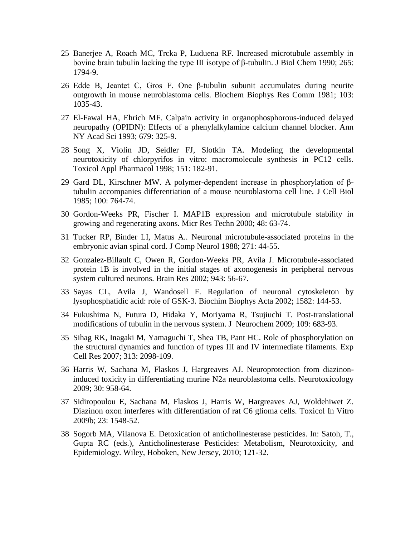- 25 Banerjee A, Roach MC, Trcka P, Luduena RF. Increased microtubule assembly in bovine brain tubulin lacking the type III isotype of β-tubulin. J Biol Chem 1990; 265: 1794-9.
- 26 Edde B, Jeantet C, Gros F. One β-tubulin subunit accumulates during neurite outgrowth in mouse neuroblastoma cells. Biochem Biophys Res Comm 1981; 103: 1035-43.
- 27 El-Fawal HA, Ehrich MF. Calpain activity in organophosphorous-induced delayed neuropathy (OPIDN): Effects of a phenylalkylamine calcium channel blocker. Ann NY Acad Sci 1993; 679: 325-9.
- 28 Song X, Violin JD, Seidler FJ, Slotkin TA. Modeling the developmental neurotoxicity of chlorpyrifos in vitro: macromolecule synthesis in PC12 cells. Toxicol Appl Pharmacol 1998; 151: 182-91.
- 29 Gard DL, Kirschner MW. A polymer-dependent increase in phosphorylation of βtubulin accompanies differentiation of a mouse neuroblastoma cell line. J Cell Biol 1985; 100: 764-74.
- 30 Gordon-Weeks PR, Fischer I. MAP1B expression and microtubule stability in growing and regenerating axons. Micr Res Techn 2000; 48: 63-74.
- 31 Tucker RP, Binder LI, Matus A.. Neuronal microtubule-associated proteins in the embryonic avian spinal cord. J Comp Neurol 1988; 271: 44-55.
- 32 Gonzalez-Billault C, Owen R, Gordon-Weeks PR, Avila J. Microtubule-associated protein 1B is involved in the initial stages of axonogenesis in peripheral nervous system cultured neurons. Brain Res 2002; 943: 56-67.
- 33 Sayas CL, Avila J, Wandosell F. Regulation of neuronal cytoskeleton by lysophosphatidic acid: role of GSK-3. Biochim Biophys Acta 2002; 1582: 144-53.
- 34 Fukushima N, Futura D, Hidaka Y, Moriyama R, Tsujiuchi T. Post-translational modifications of tubulin in the nervous system. J Neurochem 2009; 109: 683-93.
- 35 Sihag RK, Inagaki M, Yamaguchi T, Shea TB, Pant HC. Role of phosphorylation on the structural dynamics and function of types III and IV intermediate filaments. Exp Cell Res 2007; 313: 2098-109.
- 36 Harris W, Sachana M, Flaskos J, Hargreaves AJ. Neuroprotection from diazinoninduced toxicity in differentiating murine N2a neuroblastoma cells. Neurotoxicology 2009; 30: 958-64.
- 37 Sidiropoulou E, Sachana M, Flaskos J, Harris W, Hargreaves AJ, Woldehiwet Z. Diazinon oxon interferes with differentiation of rat C6 glioma cells. Toxicol In Vitro 2009b; 23: 1548-52.
- 38 Sogorb MA, Vilanova E. Detoxication of anticholinesterase pesticides. In: Satoh, T., Gupta RC (eds.), Anticholinesterase Pesticides: Metabolism, Neurotoxicity, and Epidemiology. Wiley, Hoboken, New Jersey, 2010; 121-32.